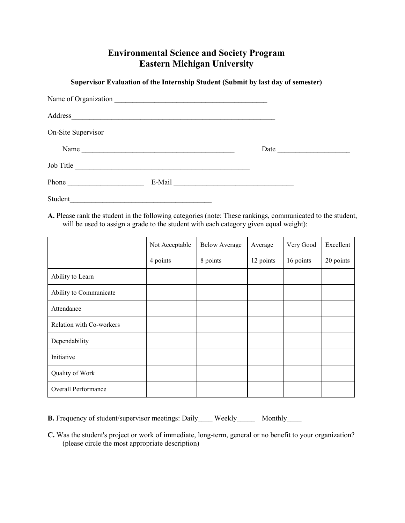## **Environmental Science and Society Program Eastern Michigan University**

**Supervisor Evaluation of the Internship Student (Submit by last day of semester)**

| Name of Organization |                                                                                                                      |  |
|----------------------|----------------------------------------------------------------------------------------------------------------------|--|
|                      |                                                                                                                      |  |
| On-Site Supervisor   |                                                                                                                      |  |
| Name                 | <u> 1989 - Jan Barnett, fransk politiker (d. 1989)</u>                                                               |  |
| Job Title            | <u> 2000 - 2000 - 2000 - 2000 - 2000 - 2000 - 2000 - 2000 - 2000 - 2000 - 2000 - 2000 - 2000 - 2000 - 2000 - 200</u> |  |
| Phone                |                                                                                                                      |  |
| Student              |                                                                                                                      |  |

**A.** Please rank the student in the following categories (note: These rankings, communicated to the student, will be used to assign a grade to the student with each category given equal weight):

|                          | Not Acceptable | <b>Below Average</b> | Average   | Very Good | Excellent |
|--------------------------|----------------|----------------------|-----------|-----------|-----------|
|                          | 4 points       | 8 points             | 12 points | 16 points | 20 points |
| Ability to Learn         |                |                      |           |           |           |
| Ability to Communicate   |                |                      |           |           |           |
| Attendance               |                |                      |           |           |           |
| Relation with Co-workers |                |                      |           |           |           |
| Dependability            |                |                      |           |           |           |
| Initiative               |                |                      |           |           |           |
| Quality of Work          |                |                      |           |           |           |
| Overall Performance      |                |                      |           |           |           |

**B.** Frequency of student/supervisor meetings: Daily Weekly Monthly

**C.** Was the student's project or work of immediate, long-term, general or no benefit to your organization? (please circle the most appropriate description)